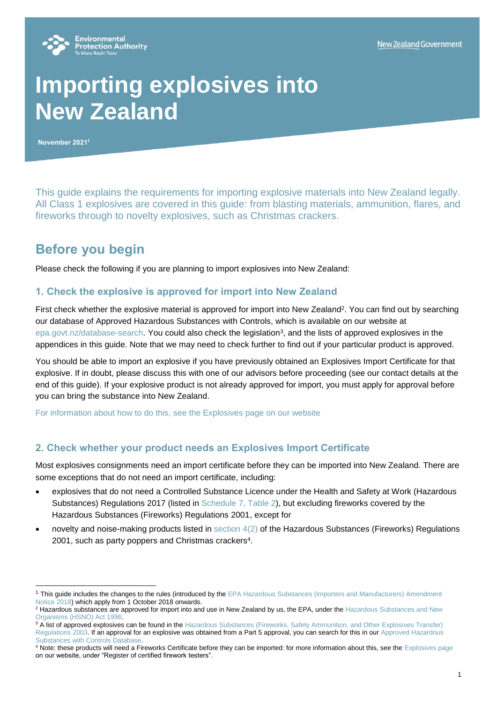

# **Importing explosives into New Zealand**

**November 2021<sup>1</sup>**

This guide explains the requirements for importing explosive materials into New Zealand legally. All Class 1 explosives are covered in this guide: from blasting materials, ammunition, flares, and fireworks through to novelty explosives, such as Christmas crackers.

# **Before you begin**

Please check the following if you are planning to import explosives into New Zealand:

#### **1. Check the explosive is approved for import into New Zealand**

First check whether the explosive material is approved for import into New Zealand<sup>2</sup>. You can find out by searching our database of Approved Hazardous Substances with Controls, which is available on our website at [epa.govt.nz/database-search.](https://www.epa.govt.nz/database-search/) You could also check the legislation<sup>3</sup>, and the lists of approved explosives in the appendices in this guide. Note that we may need to check further to find out if your particular product is approved.

You should be able to import an explosive if you have previously obtained an Explosives Import Certificate for that explosive. If in doubt, please discuss this with one of our advisors before proceeding (see our contact details at the end of this guide). If your explosive product is not already approved for import, you must apply for approval before you can bring the substance into New Zealand.

[For information about how to do this, see the Explosives page on our website](https://www.epa.govt.nz/industry-areas/hazardous-substances/guidance-for-importers-and-manufacturers/explosives/)

### **2. Check whether your product needs an Explosives Import Certificate**

Most explosives consignments need an import certificate before they can be imported into New Zealand. There are some exceptions that do not need an import certificate, including:

- explosives that do not need a Controlled Substance Licence under the Health and Safety at Work (Hazardous Substances) Regulations 2017 (listed in [Schedule 7, Table 2\)](http://legislation.govt.nz/regulation/public/2017/0131/28.0/DLM7311203.html?search=sw_096be8ed816ac4f5_controlled+substance_25_se&p=1#DLM7311206), but excluding fireworks covered by the Hazardous Substances (Fireworks) Regulations 2001, except for
- novelty and noise-making products listed in [section 4\(2\)](http://www.legislation.govt.nz/regulation/public/2001/0121/latest/DLM42492.html) of the Hazardous Substances (Fireworks) Regulations 2001, such as party poppers and Christmas crackers<sup>4</sup>.

<sup>&</sup>lt;sup>1</sup> This guide includes the changes to the rules (introduced by the EPA Hazardous Substances (Importers and Manufacturers) Amendment [Notice 2018\)](https://www.epa.govt.nz/assets/Uploads/Documents/Hazardous-Substances/EPA-Notices/Hazardous-Substances-Importers-and-Manufacturers-Amendment-Notice-2018-signed-original.pdf) which apply from 1 October 2018 onwards.

<sup>&</sup>lt;sup>2</sup> Hazardous substances are approved for import into and use in New Zealand by us, the EPA, under the Hazardous Substances and New [Organisms \(HSNO\) Act 1996.](http://www.legislation.govt.nz/act/public/1996/0030/latest/DLM381222.html)

<sup>&</sup>lt;sup>3</sup> A list of approved explosives can be found in the Hazardous Substances (Fireworks, Safety Ammunition, and Other Explosives Transfer) [Regulations 2003.](http://www.legislation.govt.nz/regulation/public/2003/0176/latest/whole.html) If an approval for an explosive was obtained from a Part 5 approval, you can search for this in our Approved Hazardous [Substances with Controls Database.](https://www.epa.govt.nz/database-search/approved-hazardous-substances-with-controls/view/46166)

<sup>&</sup>lt;sup>4</sup> Note: these products will need a Fireworks Certificate before they can be imported: for more information about this, see the [Explosives page](https://www.epa.govt.nz/industry-areas/hazardous-substances/guidance-for-importers-and-manufacturers/explosives/) on our website, under "Register of certified firework testers".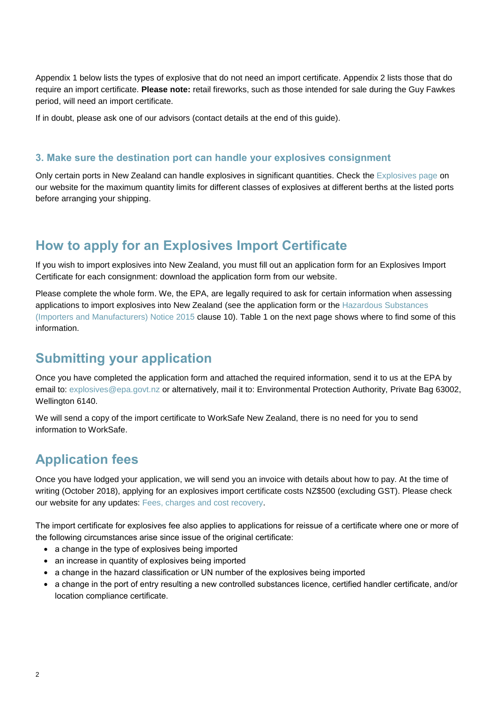Appendix 1 below lists the types of explosive that do not need an import certificate. Appendix 2 lists those that do require an import certificate. **Please note:** retail fireworks, such as those intended for sale during the Guy Fawkes period, will need an import certificate.

If in doubt, please ask one of our advisors (contact details at the end of this guide).

#### **3. Make sure the destination port can handle your explosives consignment**

Only certain ports in New Zealand can handle explosives in significant quantities. Check the [Explosives page](https://www.epa.govt.nz/industry-areas/hazardous-substances/guidance-for-importers-and-manufacturers/explosives/) on our website for the maximum quantity limits for different classes of explosives at different berths at the listed ports before arranging your shipping.

## **How to apply for an Explosives Import Certificate**

If you wish to import explosives into New Zealand, you must fill out an application form for an Explosives Import Certificate for each consignment: download the application form from our website.

Please complete the whole form. We, the EPA, are legally required to ask for certain information when assessing applications to import explosives into New Zealand (see the application form or the [Hazardous Substances](https://www.epa.govt.nz/assets/Uploads/Documents/Hazardous-Substances/EPA-Notices/Hazardous-Substances-Importers-and-Manufacturers-Notice-2018-consolidated.pdf)  [\(Importers and Manufacturers\) Notice 201](https://www.epa.govt.nz/assets/Uploads/Documents/Hazardous-Substances/EPA-Notices/Hazardous-Substances-Importers-and-Manufacturers-Notice-2018-consolidated.pdf)5 clause 10). Table 1 on the next page shows where to find some of this information.

## **Submitting your application**

Once you have completed the application form and attached the required information, send it to us at the EPA by email to[: explosives@epa.govt.nz](mailto:explosives@epa.govt.nz) or alternatively, mail it to: Environmental Protection Authority, Private Bag 63002, Wellington 6140.

We will send a copy of the import certificate to WorkSafe New Zealand, there is no need for you to send information to WorkSafe.

## **Application fees**

Once you have lodged your application, we will send you an invoice with details about how to pay. At the time of writing (October 2018), applying for an explosives import certificate costs NZ\$500 (excluding GST). Please check our website for any updates: [Fees, charges and cost recovery.](https://www.epa.govt.nz/applications-and-permits/fees-and-charges/) 

The import certificate for explosives fee also applies to applications for reissue of a certificate where one or more of the following circumstances arise since issue of the original certificate:

- a change in the type of explosives being imported
- an increase in quantity of explosives being imported
- a change in the hazard classification or UN number of the explosives being imported
- a change in the port of entry resulting a new controlled substances licence, certified handler certificate, and/or location compliance certificate.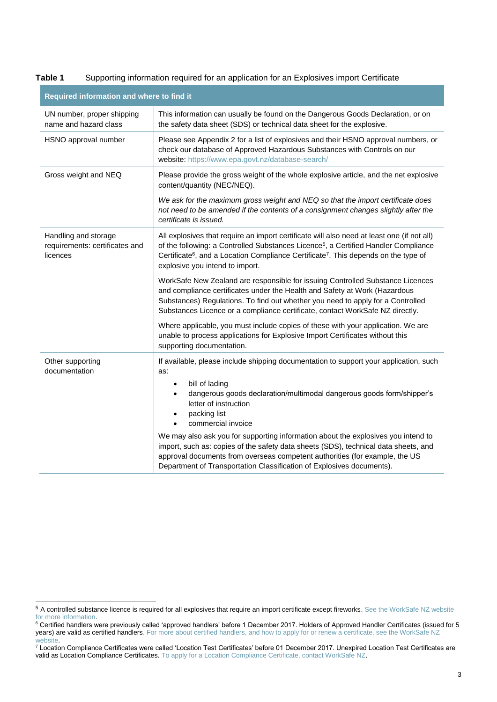| Required information and where to find it                          |                                                                                                                                                                                                                                                                                                                                                 |  |  |  |
|--------------------------------------------------------------------|-------------------------------------------------------------------------------------------------------------------------------------------------------------------------------------------------------------------------------------------------------------------------------------------------------------------------------------------------|--|--|--|
| UN number, proper shipping<br>name and hazard class                | This information can usually be found on the Dangerous Goods Declaration, or on<br>the safety data sheet (SDS) or technical data sheet for the explosive.                                                                                                                                                                                       |  |  |  |
| HSNO approval number                                               | Please see Appendix 2 for a list of explosives and their HSNO approval numbers, or<br>check our database of Approved Hazardous Substances with Controls on our<br>website: https://www.epa.govt.nz/database-search/                                                                                                                             |  |  |  |
| Gross weight and NEQ                                               | Please provide the gross weight of the whole explosive article, and the net explosive<br>content/quantity (NEC/NEQ).                                                                                                                                                                                                                            |  |  |  |
|                                                                    | We ask for the maximum gross weight and NEQ so that the import certificate does<br>not need to be amended if the contents of a consignment changes slightly after the<br>certificate is issued.                                                                                                                                                 |  |  |  |
| Handling and storage<br>requirements: certificates and<br>licences | All explosives that require an import certificate will also need at least one (if not all)<br>of the following: a Controlled Substances Licence <sup>5</sup> , a Certified Handler Compliance<br>Certificate <sup>6</sup> , and a Location Compliance Certificate <sup>7</sup> . This depends on the type of<br>explosive you intend to import. |  |  |  |
|                                                                    | WorkSafe New Zealand are responsible for issuing Controlled Substance Licences<br>and compliance certificates under the Health and Safety at Work (Hazardous<br>Substances) Regulations. To find out whether you need to apply for a Controlled<br>Substances Licence or a compliance certificate, contact WorkSafe NZ directly.                |  |  |  |
|                                                                    | Where applicable, you must include copies of these with your application. We are<br>unable to process applications for Explosive Import Certificates without this<br>supporting documentation.                                                                                                                                                  |  |  |  |
| Other supporting<br>documentation                                  | If available, please include shipping documentation to support your application, such<br>as:<br>bill of lading<br>$\bullet$<br>dangerous goods declaration/multimodal dangerous goods form/shipper's<br>$\bullet$<br>letter of instruction<br>packing list<br>$\bullet$<br>commercial invoice                                                   |  |  |  |
|                                                                    | We may also ask you for supporting information about the explosives you intend to<br>import, such as: copies of the safety data sheets (SDS), technical data sheets, and<br>approval documents from overseas competent authorities (for example, the US<br>Department of Transportation Classification of Explosives documents).                |  |  |  |

#### **Table 1** Supporting information required for an application for an Explosives import Certificate

<sup>5</sup> A controlled substance licence is required for all explosives that require an import certificate except fireworks[. See the WorkSafe NZ website](https://worksafe.govt.nz/topic-and-industry/hazardous-substances/certification-authorisation-approvals-and-licensing/certification-of-people/controlled-substances-licences/)  [for more information.](https://worksafe.govt.nz/topic-and-industry/hazardous-substances/certification-authorisation-approvals-and-licensing/certification-of-people/controlled-substances-licences/)

<sup>&</sup>lt;sup>6</sup> Certified handlers were previously called 'approved handlers' before 1 December 2017. Holders of Approved Handler Certificates (issued for 5 years) are valid as certified handler[s. For more about certified handlers, and how to apply for or renew a certificate, see the WorkSafe NZ](https://worksafe.govt.nz/topic-and-industry/hazardous-substances/certification-authorisation-approvals-and-licensing/certification-of-people/certified-handlers/)  [website.](https://worksafe.govt.nz/topic-and-industry/hazardous-substances/certification-authorisation-approvals-and-licensing/certification-of-people/certified-handlers/)

<sup>&</sup>lt;sup>7</sup> Location Compliance Certificates were called 'Location Test Certificates' before 01 December 2017. Unexpired Location Test Certificates are valid as Location Compliance Certificates[. To apply for a Location Compliance Certificate, contact WorkSafe NZ.](https://worksafe.govt.nz/topic-and-industry/hazardous-substances/certification-authorisation-approvals-and-licensing/certification-of-sites/location-test-certificates/)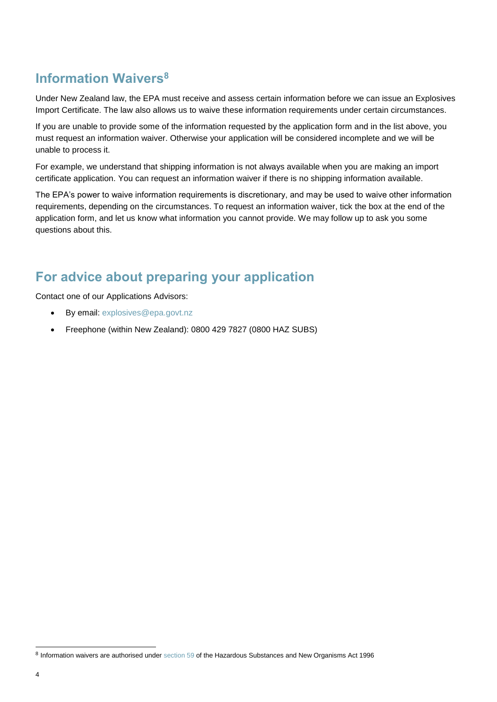# **Information Waivers<sup>8</sup>**

Under New Zealand law, the EPA must receive and assess certain information before we can issue an Explosives Import Certificate. The law also allows us to waive these information requirements under certain circumstances.

If you are unable to provide some of the information requested by the application form and in the list above, you must request an information waiver. Otherwise your application will be considered incomplete and we will be unable to process it.

For example, we understand that shipping information is not always available when you are making an import certificate application. You can request an information waiver if there is no shipping information available.

The EPA's power to waive information requirements is discretionary, and may be used to waive other information requirements, depending on the circumstances. To request an information waiver, tick the box at the end of the application form, and let us know what information you cannot provide. We may follow up to ask you some questions about this.

# **For advice about preparing your application**

Contact one of our Applications Advisors:

- By email: [explosives@epa.govt.nz](mailto:explosives@epa.govt.nz)
- Freephone (within New Zealand): 0800 429 7827 (0800 HAZ SUBS)

<sup>8</sup> Information waivers are authorised under [section 59](http://legislation.govt.nz/act/public/1996/0030/latest/DLM384091.html?search=qs_act%40bill%40regulation%40deemedreg_Hazardous+Substances+and+New+Organisms+_resel_25_h&p=1) of the Hazardous Substances and New Organisms Act 1996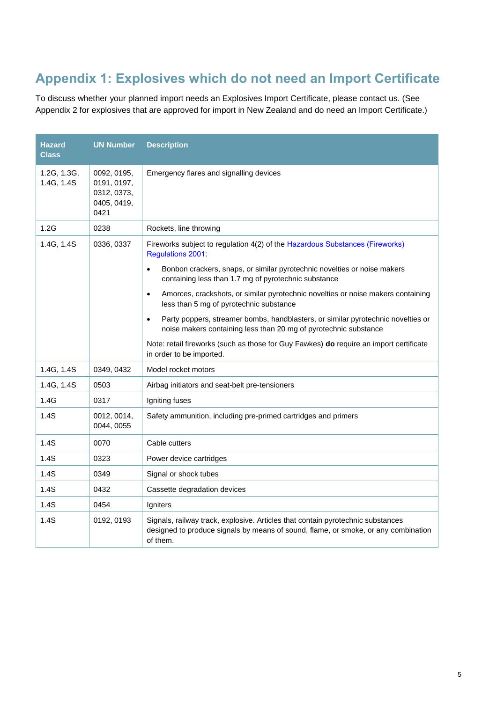# **Appendix 1: Explosives which do not need an Import Certificate**

To discuss whether your planned import needs an Explosives Import Certificate, please contact us. (See Appendix 2 for explosives that are approved for import in New Zealand and do need an Import Certificate.)

| <b>Hazard</b><br><b>Class</b> | <b>UN Number</b>                                                 | <b>Description</b>                                                                                                                                                                                                                                                                                                                                                                                    |
|-------------------------------|------------------------------------------------------------------|-------------------------------------------------------------------------------------------------------------------------------------------------------------------------------------------------------------------------------------------------------------------------------------------------------------------------------------------------------------------------------------------------------|
| 1.2G, 1.3G,<br>1.4G, 1.4S     | 0092, 0195,<br>0191, 0197,<br>0312, 0373,<br>0405, 0419,<br>0421 | Emergency flares and signalling devices                                                                                                                                                                                                                                                                                                                                                               |
| 1.2G                          | 0238                                                             | Rockets, line throwing                                                                                                                                                                                                                                                                                                                                                                                |
| 1.4G, 1.4S                    | 0336, 0337                                                       | Fireworks subject to regulation 4(2) of the Hazardous Substances (Fireworks)<br><b>Regulations 2001:</b><br>Bonbon crackers, snaps, or similar pyrotechnic novelties or noise makers<br>$\bullet$<br>containing less than 1.7 mg of pyrotechnic substance<br>Amorces, crackshots, or similar pyrotechnic novelties or noise makers containing<br>$\bullet$<br>less than 5 mg of pyrotechnic substance |
|                               |                                                                  | Party poppers, streamer bombs, handblasters, or similar pyrotechnic novelties or<br>$\bullet$<br>noise makers containing less than 20 mg of pyrotechnic substance<br>Note: retail fireworks (such as those for Guy Fawkes) <b>do</b> require an import certificate<br>in order to be imported.                                                                                                        |
| 1.4G, 1.4S                    | 0349, 0432                                                       | Model rocket motors                                                                                                                                                                                                                                                                                                                                                                                   |
| 1.4G, 1.4S                    | 0503                                                             | Airbag initiators and seat-belt pre-tensioners                                                                                                                                                                                                                                                                                                                                                        |
| 1.4G                          | 0317                                                             | Igniting fuses                                                                                                                                                                                                                                                                                                                                                                                        |
| 1.4S                          | 0012, 0014,<br>0044, 0055                                        | Safety ammunition, including pre-primed cartridges and primers                                                                                                                                                                                                                                                                                                                                        |
| 1.4S                          | 0070                                                             | Cable cutters                                                                                                                                                                                                                                                                                                                                                                                         |
| 1.4S                          | 0323                                                             | Power device cartridges                                                                                                                                                                                                                                                                                                                                                                               |
| 1.4S                          | 0349                                                             | Signal or shock tubes                                                                                                                                                                                                                                                                                                                                                                                 |
| 1.4S                          | 0432                                                             | Cassette degradation devices                                                                                                                                                                                                                                                                                                                                                                          |
| 1.4S                          | 0454                                                             | Igniters                                                                                                                                                                                                                                                                                                                                                                                              |
| 1.4S                          | 0192, 0193                                                       | Signals, railway track, explosive. Articles that contain pyrotechnic substances<br>designed to produce signals by means of sound, flame, or smoke, or any combination<br>of them.                                                                                                                                                                                                                     |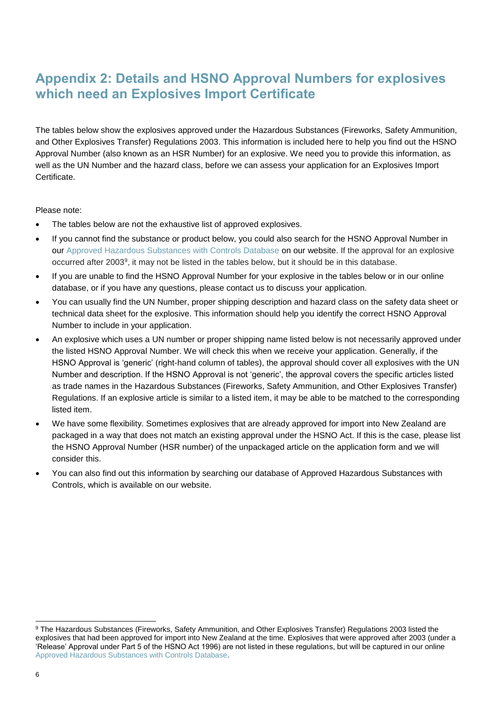# **Appendix 2: Details and HSNO Approval Numbers for explosives which need an Explosives Import Certificate**

The tables below show the explosives approved under the Hazardous Substances (Fireworks, Safety Ammunition, and Other Explosives Transfer) Regulations 2003. This information is included here to help you find out the HSNO Approval Number (also known as an HSR Number) for an explosive. We need you to provide this information, as well as the UN Number and the hazard class, before we can assess your application for an Explosives Import Certificate.

Please note:

- The tables below are not the exhaustive list of approved explosives.
- If you cannot find the substance or product below, you could also search for the HSNO Approval Number in our [Approved Hazardous Substances with Controls Database](https://www.epa.govt.nz/database-search/approved-hazardous-substances-with-controls/view/46166) on our website. If the approval for an explosive occurred after 2003<sup>9</sup>, it may not be listed in the tables below, but it should be in this database.
- If you are unable to find the HSNO Approval Number for your explosive in the tables below or in our online database, or if you have any questions, please contact us to discuss your application.
- You can usually find the UN Number, proper shipping description and hazard class on the safety data sheet or technical data sheet for the explosive. This information should help you identify the correct HSNO Approval Number to include in your application.
- An explosive which uses a UN number or proper shipping name listed below is not necessarily approved under the listed HSNO Approval Number. We will check this when we receive your application. Generally, if the HSNO Approval is 'generic' (right-hand column of tables), the approval should cover all explosives with the UN Number and description. If the HSNO Approval is not 'generic', the approval covers the specific articles listed as trade names in the Hazardous Substances (Fireworks, Safety Ammunition, and Other Explosives Transfer) Regulations. If an explosive article is similar to a listed item, it may be able to be matched to the corresponding listed item.
- We have some flexibility. Sometimes explosives that are already approved for import into New Zealand are packaged in a way that does not match an existing approval under the HSNO Act. If this is the case, please list the HSNO Approval Number (HSR number) of the unpackaged article on the application form and we will consider this.
- You can also find out this information by searching our database of Approved Hazardous Substances with Controls, which is available on our website.

l

<sup>9</sup> The Hazardous Substances (Fireworks, Safety Ammunition, and Other Explosives Transfer) Regulations 2003 listed the explosives that had been approved for import into New Zealand at the time. Explosives that were approved after 2003 (under a 'Release' Approval under Part 5 of the HSNO Act 1996) are not listed in these regulations, but will be captured in our online [Approved Hazardous Substances with Controls Database.](https://www.epa.govt.nz/database-search/approved-hazardous-substances-with-controls/view/46166)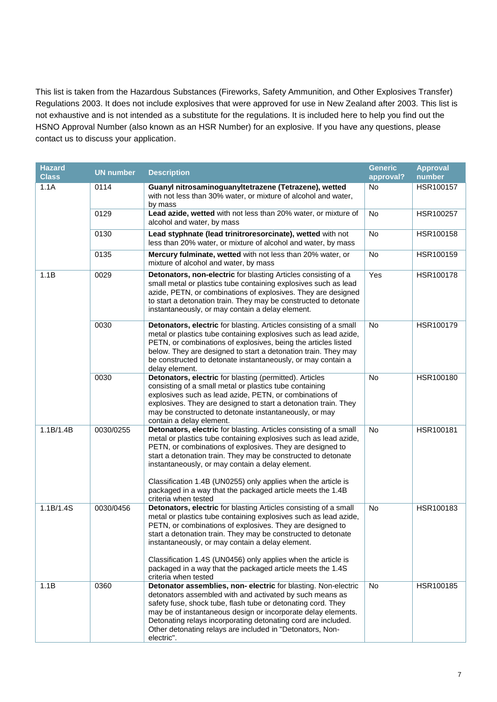This list is taken from the Hazardous Substances (Fireworks, Safety Ammunition, and Other Explosives Transfer) Regulations 2003. It does not include explosives that were approved for use in New Zealand after 2003. This list is not exhaustive and is not intended as a substitute for the regulations. It is included here to help you find out the HSNO Approval Number (also known as an HSR Number) for an explosive. If you have any questions, please contact us to discuss your application.

| <b>Hazard</b><br><b>Class</b> | <b>UN number</b> | <b>Description</b>                                                                                                                                                                                                                                                                                                                                                                                                                                                             | <b>Generic</b><br>approval? | <b>Approval</b><br>number |
|-------------------------------|------------------|--------------------------------------------------------------------------------------------------------------------------------------------------------------------------------------------------------------------------------------------------------------------------------------------------------------------------------------------------------------------------------------------------------------------------------------------------------------------------------|-----------------------------|---------------------------|
| 1.1A                          | 0114             | Guanyl nitrosaminoguanyltetrazene (Tetrazene), wetted<br>with not less than 30% water, or mixture of alcohol and water,<br>by mass                                                                                                                                                                                                                                                                                                                                             | <b>No</b>                   | HSR100157                 |
|                               | 0129             | Lead azide, wetted with not less than 20% water, or mixture of<br>alcohol and water, by mass                                                                                                                                                                                                                                                                                                                                                                                   | No                          | HSR100257                 |
|                               | 0130             | Lead styphnate (lead trinitroresorcinate), wetted with not<br>less than 20% water, or mixture of alcohol and water, by mass                                                                                                                                                                                                                                                                                                                                                    | <b>No</b>                   | HSR100158                 |
|                               | 0135             | Mercury fulminate, wetted with not less than 20% water, or<br>mixture of alcohol and water, by mass                                                                                                                                                                                                                                                                                                                                                                            | No                          | HSR100159                 |
| 1.1B                          | 0029             | Detonators, non-electric for blasting Articles consisting of a<br>small metal or plastics tube containing explosives such as lead<br>azide, PETN, or combinations of explosives. They are designed<br>to start a detonation train. They may be constructed to detonate<br>instantaneously, or may contain a delay element.                                                                                                                                                     | Yes                         | HSR100178                 |
|                               | 0030             | Detonators, electric for blasting. Articles consisting of a small<br>metal or plastics tube containing explosives such as lead azide,<br>PETN, or combinations of explosives, being the articles listed<br>below. They are designed to start a detonation train. They may<br>be constructed to detonate instantaneously, or may contain a<br>delay element.                                                                                                                    | <b>No</b>                   | HSR100179                 |
|                               | 0030             | Detonators, electric for blasting (permitted). Articles<br>consisting of a small metal or plastics tube containing<br>explosives such as lead azide, PETN, or combinations of<br>explosives. They are designed to start a detonation train. They<br>may be constructed to detonate instantaneously, or may<br>contain a delay element.                                                                                                                                         | <b>No</b>                   | HSR100180                 |
| 1.1B/1.4B                     | 0030/0255        | Detonators, electric for blasting. Articles consisting of a small<br>metal or plastics tube containing explosives such as lead azide,<br>PETN, or combinations of explosives. They are designed to<br>start a detonation train. They may be constructed to detonate<br>instantaneously, or may contain a delay element.<br>Classification 1.4B (UN0255) only applies when the article is<br>packaged in a way that the packaged article meets the 1.4B<br>criteria when tested | No                          | HSR100181                 |
| 1.1B/1.4S                     | 0030/0456        | Detonators, electric for blasting Articles consisting of a small<br>metal or plastics tube containing explosives such as lead azide,<br>PETN, or combinations of explosives. They are designed to<br>start a detonation train. They may be constructed to detonate<br>instantaneously, or may contain a delay element.<br>Classification 1.4S (UN0456) only applies when the article is<br>packaged in a way that the packaged article meets the 1.4S<br>criteria when tested  | <b>No</b>                   | HSR100183                 |
| 1.1B                          | 0360             | Detonator assemblies, non-electric for blasting. Non-electric<br>detonators assembled with and activated by such means as<br>safety fuse, shock tube, flash tube or detonating cord. They<br>may be of instantaneous design or incorporate delay elements.<br>Detonating relays incorporating detonating cord are included.<br>Other detonating relays are included in "Detonators, Non-<br>electric".                                                                         | No                          | HSR100185                 |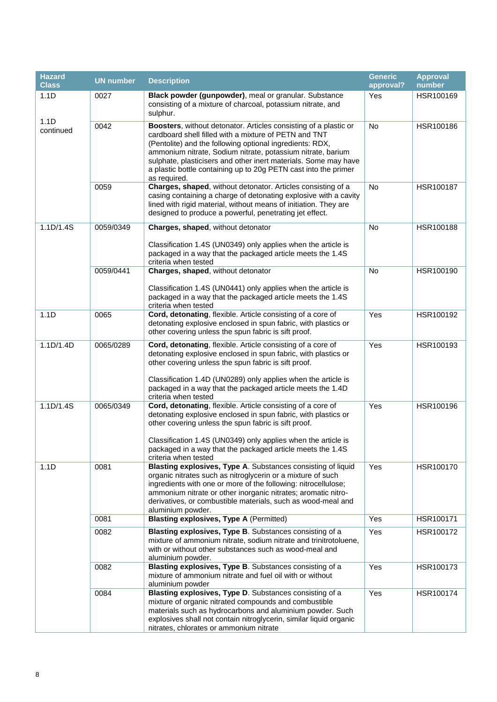| <b>Hazard</b><br><b>Class</b> | <b>UN number</b> | <b>Description</b>                                                                                                                                                                                                                                                                                                                                                                                         | <b>Generic</b><br>approval? | <b>Approval</b><br>number |
|-------------------------------|------------------|------------------------------------------------------------------------------------------------------------------------------------------------------------------------------------------------------------------------------------------------------------------------------------------------------------------------------------------------------------------------------------------------------------|-----------------------------|---------------------------|
| 1.1D                          | 0027             | Black powder (gunpowder), meal or granular. Substance<br>consisting of a mixture of charcoal, potassium nitrate, and<br>sulphur.                                                                                                                                                                                                                                                                           | Yes                         | HSR100169                 |
| 1.1D<br>continued             | 0042             | Boosters, without detonator. Articles consisting of a plastic or<br>cardboard shell filled with a mixture of PETN and TNT<br>(Pentolite) and the following optional ingredients: RDX,<br>ammonium nitrate, Sodium nitrate, potassium nitrate, barium<br>sulphate, plasticisers and other inert materials. Some may have<br>a plastic bottle containing up to 20g PETN cast into the primer<br>as required. | No                          | HSR100186                 |
|                               | 0059             | Charges, shaped, without detonator. Articles consisting of a<br>casing containing a charge of detonating explosive with a cavity<br>lined with rigid material, without means of initiation. They are<br>designed to produce a powerful, penetrating jet effect.                                                                                                                                            | <b>No</b>                   | HSR100187                 |
| 1.1D/1.4S                     | 0059/0349        | Charges, shaped, without detonator<br>Classification 1.4S (UN0349) only applies when the article is<br>packaged in a way that the packaged article meets the 1.4S<br>criteria when tested                                                                                                                                                                                                                  | No                          | HSR100188                 |
|                               | 0059/0441        | Charges, shaped, without detonator<br>Classification 1.4S (UN0441) only applies when the article is<br>packaged in a way that the packaged article meets the 1.4S<br>criteria when tested                                                                                                                                                                                                                  | No                          | HSR100190                 |
| 1.1D                          | 0065             | Cord, detonating, flexible. Article consisting of a core of<br>detonating explosive enclosed in spun fabric, with plastics or<br>other covering unless the spun fabric is sift proof.                                                                                                                                                                                                                      | Yes                         | HSR100192                 |
| 1.1D/1.4D                     | 0065/0289        | Cord, detonating, flexible. Article consisting of a core of<br>detonating explosive enclosed in spun fabric, with plastics or<br>other covering unless the spun fabric is sift proof.<br>Classification 1.4D (UN0289) only applies when the article is<br>packaged in a way that the packaged article meets the 1.4D<br>criteria when tested                                                               | Yes                         | HSR100193                 |
| 1.1D/1.4S                     | 0065/0349        | Cord, detonating, flexible. Article consisting of a core of<br>detonating explosive enclosed in spun fabric, with plastics or<br>other covering unless the spun fabric is sift proof.<br>Classification 1.4S (UN0349) only applies when the article is<br>packaged in a way that the packaged article meets the 1.4S<br>criteria when tested                                                               | Yes                         | HSR100196                 |
| 1.1D                          | 0081             | Blasting explosives, Type A. Substances consisting of liquid<br>organic nitrates such as nitroglycerin or a mixture of such<br>ingredients with one or more of the following: nitrocellulose;<br>ammonium nitrate or other inorganic nitrates; aromatic nitro-<br>derivatives, or combustible materials, such as wood-meal and<br>aluminium powder.                                                        | Yes                         | HSR100170                 |
|                               | 0081             | <b>Blasting explosives, Type A (Permitted)</b>                                                                                                                                                                                                                                                                                                                                                             | Yes                         | HSR100171                 |
|                               | 0082             | Blasting explosives, Type B. Substances consisting of a<br>mixture of ammonium nitrate, sodium nitrate and trinitrotoluene,<br>with or without other substances such as wood-meal and<br>aluminium powder.                                                                                                                                                                                                 | Yes                         | HSR100172                 |
|                               | 0082             | Blasting explosives, Type B. Substances consisting of a<br>mixture of ammonium nitrate and fuel oil with or without<br>aluminium powder                                                                                                                                                                                                                                                                    | Yes                         | HSR100173                 |
|                               | 0084             | Blasting explosives, Type D. Substances consisting of a<br>mixture of organic nitrated compounds and combustible<br>materials such as hydrocarbons and aluminium powder. Such<br>explosives shall not contain nitroglycerin, similar liquid organic<br>nitrates, chlorates or ammonium nitrate                                                                                                             | Yes                         | HSR100174                 |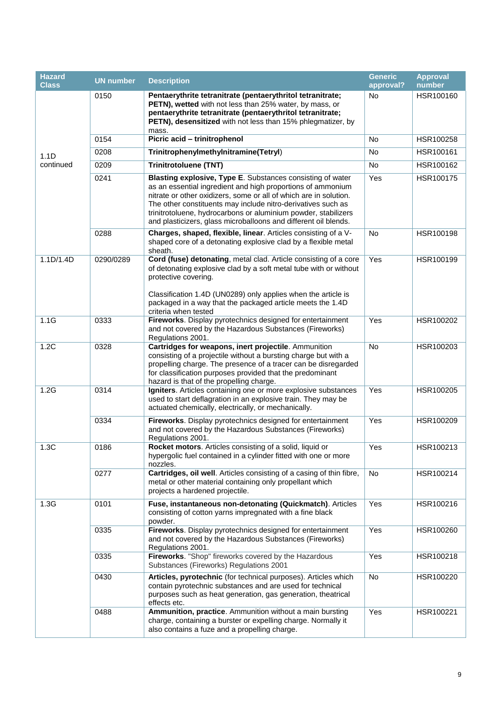| <b>Hazard</b><br><b>Class</b> | <b>UN</b> number | <b>Description</b>                                                                                                                                                                                                                                                                                                                                                                                  | <b>Generic</b><br>approval? | <b>Approval</b><br>number |
|-------------------------------|------------------|-----------------------------------------------------------------------------------------------------------------------------------------------------------------------------------------------------------------------------------------------------------------------------------------------------------------------------------------------------------------------------------------------------|-----------------------------|---------------------------|
|                               | 0150             | Pentaerythrite tetranitrate (pentaerythritol tetranitrate;<br>PETN), wetted with not less than 25% water, by mass, or<br>pentaerythrite tetranitrate (pentaerythritol tetranitrate;<br>PETN), desensitized with not less than 15% phlegmatizer, by<br>mass.                                                                                                                                         | No                          | HSR100160                 |
|                               | 0154             | Picric acid - trinitrophenol                                                                                                                                                                                                                                                                                                                                                                        | <b>No</b>                   | HSR100258                 |
| 1.1D                          | 0208             | Trinitrophenylmethylnitramine(Tetryl)                                                                                                                                                                                                                                                                                                                                                               | No                          | HSR100161                 |
| continued                     | 0209             | <b>Trinitrotoluene (TNT)</b>                                                                                                                                                                                                                                                                                                                                                                        | No                          | HSR100162                 |
|                               | 0241             | Blasting explosive, Type E. Substances consisting of water<br>as an essential ingredient and high proportions of ammonium<br>nitrate or other oxidizers, some or all of which are in solution.<br>The other constituents may include nitro-derivatives such as<br>trinitrotoluene, hydrocarbons or aluminium powder, stabilizers<br>and plasticizers, glass microballoons and different oil blends. | Yes                         | HSR100175                 |
|                               | 0288             | Charges, shaped, flexible, linear. Articles consisting of a V-<br>shaped core of a detonating explosive clad by a flexible metal<br>sheath.                                                                                                                                                                                                                                                         | No                          | HSR100198                 |
| 1.1D/1.4D                     | 0290/0289        | Cord (fuse) detonating, metal clad. Article consisting of a core<br>of detonating explosive clad by a soft metal tube with or without<br>protective covering.<br>Classification 1.4D (UN0289) only applies when the article is<br>packaged in a way that the packaged article meets the 1.4D<br>criteria when tested                                                                                | Yes                         | HSR100199                 |
| 1.1G                          | 0333             | Fireworks. Display pyrotechnics designed for entertainment<br>and not covered by the Hazardous Substances (Fireworks)<br>Regulations 2001.                                                                                                                                                                                                                                                          | Yes                         | HSR100202                 |
| 1.2C                          | 0328             | Cartridges for weapons, inert projectile. Ammunition<br>consisting of a projectile without a bursting charge but with a<br>propelling charge. The presence of a tracer can be disregarded<br>for classification purposes provided that the predominant<br>hazard is that of the propelling charge.                                                                                                  | No                          | HSR100203                 |
| 1.2G                          | 0314             | Igniters. Articles containing one or more explosive substances<br>used to start deflagration in an explosive train. They may be<br>actuated chemically, electrically, or mechanically.                                                                                                                                                                                                              | Yes                         | HSR100205                 |
|                               | 0334             | Fireworks. Display pyrotechnics designed for entertainment<br>and not covered by the Hazardous Substances (Fireworks)<br>Regulations 2001.                                                                                                                                                                                                                                                          | Yes                         | HSR100209                 |
| 1.3C                          | 0186             | Rocket motors. Articles consisting of a solid, liquid or<br>hypergolic fuel contained in a cylinder fitted with one or more<br>nozzles.                                                                                                                                                                                                                                                             | Yes                         | HSR100213                 |
|                               | 0277             | Cartridges, oil well. Articles consisting of a casing of thin fibre,<br>metal or other material containing only propellant which<br>projects a hardened projectile.                                                                                                                                                                                                                                 | No                          | HSR100214                 |
| 1.3G                          | 0101             | Fuse, instantaneous non-detonating (Quickmatch). Articles<br>consisting of cotton yarns impregnated with a fine black<br>powder.                                                                                                                                                                                                                                                                    | Yes                         | HSR100216                 |
|                               | 0335             | Fireworks. Display pyrotechnics designed for entertainment<br>and not covered by the Hazardous Substances (Fireworks)<br>Regulations 2001.                                                                                                                                                                                                                                                          | Yes                         | HSR100260                 |
|                               | 0335             | Fireworks. "Shop" fireworks covered by the Hazardous<br>Substances (Fireworks) Regulations 2001                                                                                                                                                                                                                                                                                                     | Yes                         | HSR100218                 |
|                               | 0430             | Articles, pyrotechnic (for technical purposes). Articles which<br>contain pyrotechnic substances and are used for technical<br>purposes such as heat generation, gas generation, theatrical<br>effects etc.                                                                                                                                                                                         | No                          | HSR100220                 |
|                               | 0488             | Ammunition, practice. Ammunition without a main bursting<br>charge, containing a burster or expelling charge. Normally it<br>also contains a fuze and a propelling charge.                                                                                                                                                                                                                          | Yes                         | HSR100221                 |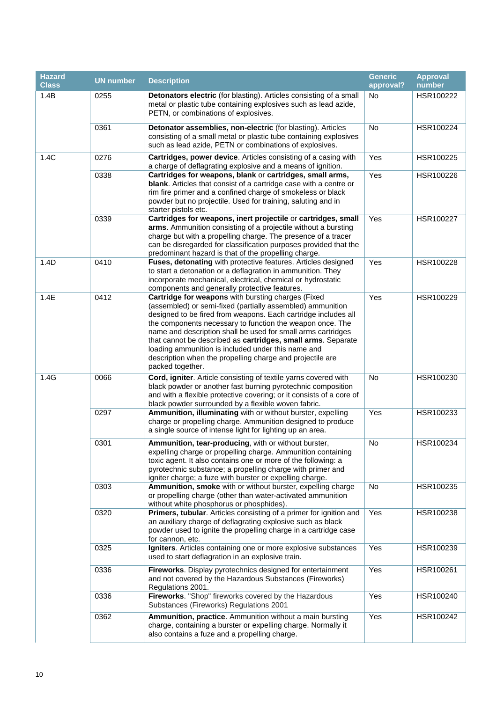| <b>Hazard</b><br><b>Class</b> | <b>UN number</b> | <b>Description</b>                                                                                                                                                                                                                                                                                                                                                                                                                                                                                                     | <b>Generic</b><br>approval? | <b>Approval</b><br>number |
|-------------------------------|------------------|------------------------------------------------------------------------------------------------------------------------------------------------------------------------------------------------------------------------------------------------------------------------------------------------------------------------------------------------------------------------------------------------------------------------------------------------------------------------------------------------------------------------|-----------------------------|---------------------------|
| 1.4B                          | 0255             | Detonators electric (for blasting). Articles consisting of a small<br>metal or plastic tube containing explosives such as lead azide,<br>PETN, or combinations of explosives.                                                                                                                                                                                                                                                                                                                                          | <b>No</b>                   | HSR100222                 |
|                               | 0361             | Detonator assemblies, non-electric (for blasting). Articles<br>consisting of a small metal or plastic tube containing explosives<br>such as lead azide, PETN or combinations of explosives.                                                                                                                                                                                                                                                                                                                            | No                          | HSR100224                 |
| 1.4C                          | 0276             | Cartridges, power device. Articles consisting of a casing with<br>a charge of deflagrating explosive and a means of ignition.                                                                                                                                                                                                                                                                                                                                                                                          | Yes                         | HSR100225                 |
|                               | 0338             | Cartridges for weapons, blank or cartridges, small arms,<br>blank. Articles that consist of a cartridge case with a centre or<br>rim fire primer and a confined charge of smokeless or black<br>powder but no projectile. Used for training, saluting and in<br>starter pistols etc.                                                                                                                                                                                                                                   | Yes                         | HSR100226                 |
|                               | 0339             | Cartridges for weapons, inert projectile or cartridges, small<br>arms. Ammunition consisting of a projectile without a bursting<br>charge but with a propelling charge. The presence of a tracer<br>can be disregarded for classification purposes provided that the<br>predominant hazard is that of the propelling charge.                                                                                                                                                                                           | Yes                         | HSR100227                 |
| 1.4D                          | 0410             | Fuses, detonating with protective features. Articles designed<br>to start a detonation or a deflagration in ammunition. They<br>incorporate mechanical, electrical, chemical or hydrostatic<br>components and generally protective features.                                                                                                                                                                                                                                                                           | Yes                         | HSR100228                 |
| 1.4E                          | 0412             | Cartridge for weapons with bursting charges (Fixed<br>(assembled) or semi-fixed (partially assembled) ammunition<br>designed to be fired from weapons. Each cartridge includes all<br>the components necessary to function the weapon once. The<br>name and description shall be used for small arms cartridges<br>that cannot be described as cartridges, small arms. Separate<br>loading ammunition is included under this name and<br>description when the propelling charge and projectile are<br>packed together. | Yes                         | HSR100229                 |
| 1.4G                          | 0066             | Cord, igniter. Article consisting of textile yarns covered with<br>black powder or another fast burning pyrotechnic composition<br>and with a flexible protective covering; or it consists of a core of<br>black powder surrounded by a flexible woven fabric.                                                                                                                                                                                                                                                         | No                          | HSR100230                 |
|                               | 0297             | Ammunition, illuminating with or without burster, expelling<br>charge or propelling charge. Ammunition designed to produce<br>a single source of intense light for lighting up an area.                                                                                                                                                                                                                                                                                                                                | Yes                         | HSR100233                 |
|                               | 0301             | Ammunition, tear-producing, with or without burster.<br>expelling charge or propelling charge. Ammunition containing<br>toxic agent. It also contains one or more of the following: a<br>pyrotechnic substance; a propelling charge with primer and<br>igniter charge; a fuze with burster or expelling charge.                                                                                                                                                                                                        | No                          | HSR100234                 |
|                               | 0303             | Ammunition, smoke with or without burster, expelling charge<br>or propelling charge (other than water-activated ammunition<br>without white phosphorus or phosphides).                                                                                                                                                                                                                                                                                                                                                 | No                          | HSR100235                 |
|                               | 0320             | Primers, tubular. Articles consisting of a primer for ignition and<br>an auxiliary charge of deflagrating explosive such as black<br>powder used to ignite the propelling charge in a cartridge case<br>for cannon, etc.                                                                                                                                                                                                                                                                                               | Yes                         | HSR100238                 |
|                               | 0325             | Igniters. Articles containing one or more explosive substances<br>used to start deflagration in an explosive train.                                                                                                                                                                                                                                                                                                                                                                                                    | Yes                         | HSR100239                 |
|                               | 0336             | Fireworks. Display pyrotechnics designed for entertainment<br>and not covered by the Hazardous Substances (Fireworks)<br>Regulations 2001.                                                                                                                                                                                                                                                                                                                                                                             | Yes                         | HSR100261                 |
|                               | 0336             | Fireworks. "Shop" fireworks covered by the Hazardous<br>Substances (Fireworks) Regulations 2001                                                                                                                                                                                                                                                                                                                                                                                                                        | Yes                         | HSR100240                 |
|                               | 0362             | Ammunition, practice. Ammunition without a main bursting<br>charge, containing a burster or expelling charge. Normally it<br>also contains a fuze and a propelling charge.                                                                                                                                                                                                                                                                                                                                             | Yes                         | HSR100242                 |